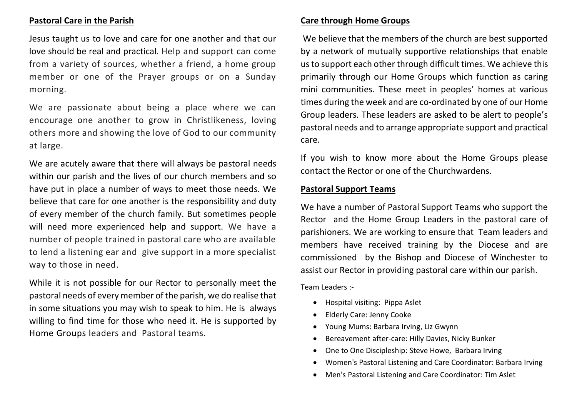# **Pastoral Care in the Parish**

Jesus taught us to love and care for one another and that our love should be real and practical. Help and support can come from a variety of sources, whether a friend, a home group member or one of the Prayer groups or on a Sunday morning.

We are passionate about being a place where we can encourage one another to grow in Christlikeness, loving others more and showing the love of God to our community at large.

We are acutely aware that there will always be pastoral needs within our parish and the lives of our church members and so have put in place a number of ways to meet those needs. We believe that care for one another is the responsibility and duty of every member of the church family. But sometimes people will need more experienced help and support. We have a number of people trained in pastoral care who are available to lend a listening ear and give support in a more specialist way to those in need.

While it is not possible for our Rector to personally meet the pastoral needs of every member of the parish, we do realise that in some situations you may wish to speak to him. He is always willing to find time for those who need it. He is supported by Home [Groups](https://www.wisleywithpyrford.org/homegroups) leaders and Pastoral teams.

### **Care through Home Groups**

We believe that the members of the church are best supported by a network of mutually supportive relationships that enable us to support each other through difficult times. We achieve this primarily through our Home Groups which function as caring mini communities. These meet in peoples' homes at various times during the week and are co-ordinated by one of our Home Group leaders. These leaders are asked to be alert to people's pastoral needs and to arrange appropriate support and practical care.

If you wish to know more about the Home Groups please contact the Rector or one of the Churchwardens.

### **Pastoral Support Teams**

We have a number of Pastoral Support Teams who support the Rector and the Home Group Leaders in the pastoral care of parishioners. We are working to ensure that Team leaders and members have received training by the Diocese and are commissioned by the Bishop and Diocese of Winchester to assist our Rector in providing pastoral care within our parish.

Team Leaders :-

- Hospital visiting: Pippa Aslet
- Elderly Care: Jenny Cooke
- Young Mums: Barbara Irving, Liz Gwynn
- Bereavement after-care: Hilly Davies, Nicky Bunker
- One to One Discipleship: Steve Howe, Barbara Irving
- Women's Pastoral Listening and Care Coordinator: Barbara Irving
- Men's Pastoral Listening and Care Coordinator: Tim Aslet